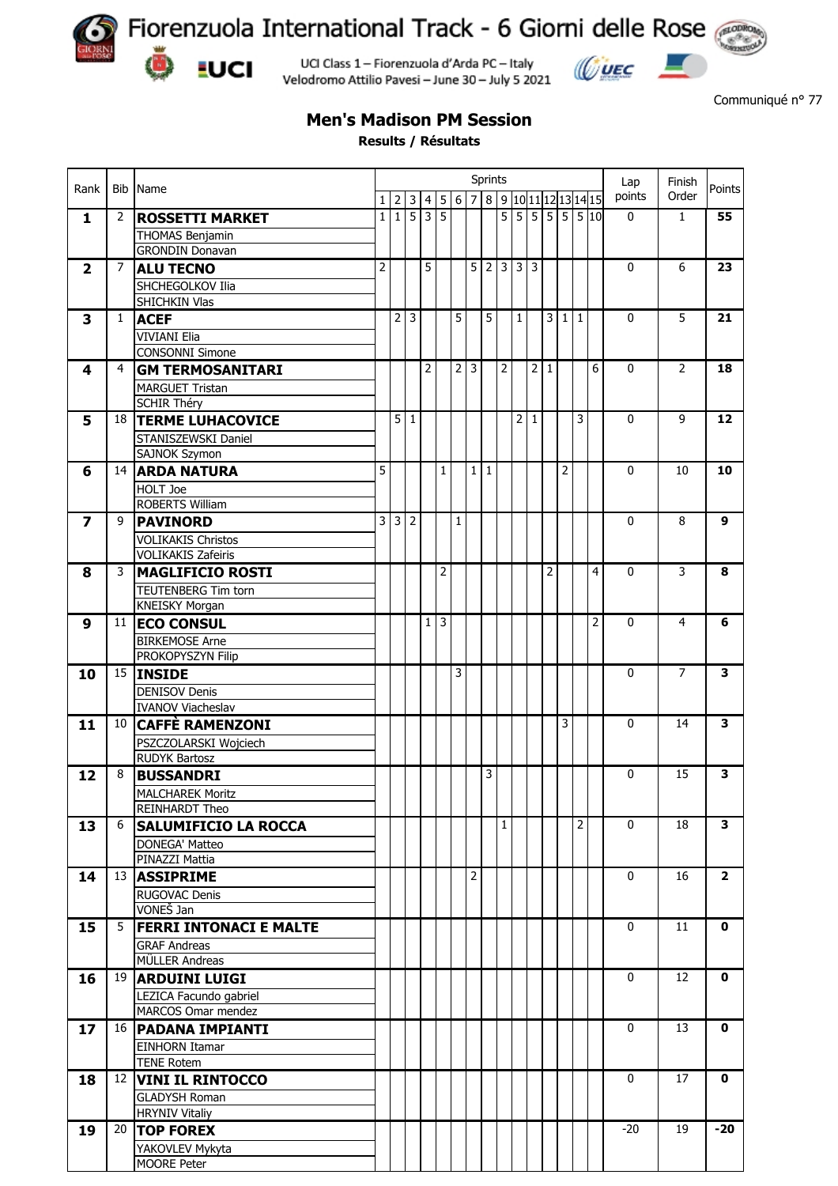

**EUCI** 

Fiorenzuola International Track - 6 Giorni delle Rose

UCI Class 1 - Fiorenzuola d'Arda PC - Italy Velodromo Attilio Pavesi - June 30 - July 5 2021



Communiqué n° 77

## **Men's Madison PM Session**

**Results / Résultats**

|                         |                | Bib Name<br><b>ROSSETTI MARKET</b>                     |                |                | Sprints<br>Lap |              |   |   |                |                |                 |                     |                | Finish         |                 |              |                  |             |                |                |
|-------------------------|----------------|--------------------------------------------------------|----------------|----------------|----------------|--------------|---|---|----------------|----------------|-----------------|---------------------|----------------|----------------|-----------------|--------------|------------------|-------------|----------------|----------------|
| Rank                    |                |                                                        | $\mathbf{1}$   | $\overline{2}$ | $\mathbf{3}$   | 4            | 5 |   | $6 \mid 7$     | $\,8\,$        |                 | 9 10 11 12 13 14 15 |                |                |                 |              |                  | points      | Order          | Points         |
|                         | $\overline{2}$ |                                                        | $1\vert$       | $\overline{1}$ | $\overline{5}$ | 3            | 5 |   |                |                | $5\overline{1}$ | $\overline{5}$      | $\overline{5}$ |                |                 |              | $5 \ 5 \ 5 \ 10$ | $\mathbf 0$ | $\mathbf{1}$   | 55             |
| $\mathbf{1}$            |                |                                                        |                |                |                |              |   |   |                |                |                 |                     |                |                |                 |              |                  |             |                |                |
|                         |                | <b>THOMAS Benjamin</b><br><b>GRONDIN Donavan</b>       |                |                |                |              |   |   |                |                |                 |                     |                |                |                 |              |                  |             |                |                |
| $\overline{\mathbf{2}}$ | 7              | <b>ALU TECNO</b>                                       | $\overline{2}$ |                |                | 5            |   |   | 5              | $\overline{2}$ |                 | 3 3                 | 3              |                |                 |              |                  | 0           | 6              | 23             |
|                         |                |                                                        |                |                |                |              |   |   |                |                |                 |                     |                |                |                 |              |                  |             |                |                |
|                         |                | SHCHEGOLKOV Ilia<br>SHICHKIN Vlas                      |                |                |                |              |   |   |                |                |                 |                     |                |                |                 |              |                  |             |                |                |
| 3                       | $\mathbf{1}$   | <b>ACEF</b>                                            |                | $\overline{2}$ | $\overline{3}$ |              |   | 5 |                | 5              |                 | 1                   |                | 3 <sup>1</sup> | $1\overline{ }$ | $\mathbf{1}$ |                  | 0           | 5              | 21             |
|                         |                |                                                        |                |                |                |              |   |   |                |                |                 |                     |                |                |                 |              |                  |             |                |                |
|                         |                | <b>VIVIANI Elia</b><br><b>CONSONNI Simone</b>          |                |                |                |              |   |   |                |                |                 |                     |                |                |                 |              |                  |             |                |                |
| 4                       | 4              | <b>GM TERMOSANITARI</b>                                |                |                |                | 2            |   | 2 | 3              |                | $\overline{2}$  |                     | 2              | $\mathbf{1}$   |                 |              | 6                | $\mathbf 0$ | $\overline{2}$ | 18             |
|                         |                |                                                        |                |                |                |              |   |   |                |                |                 |                     |                |                |                 |              |                  |             |                |                |
|                         |                | <b>MARGUET Tristan</b><br><b>SCHIR Théry</b>           |                |                |                |              |   |   |                |                |                 |                     |                |                |                 |              |                  |             |                |                |
| 5                       | 18             | <b>TERME LUHACOVICE</b>                                |                | 5 <sup>1</sup> | $\vert$ 1      |              |   |   |                |                |                 | 2                   | 1              |                |                 | 3            |                  | $\mathbf 0$ | 9              | 12             |
|                         |                | STANISZEWSKI Daniel                                    |                |                |                |              |   |   |                |                |                 |                     |                |                |                 |              |                  |             |                |                |
|                         |                | SAJNOK Szymon                                          |                |                |                |              |   |   |                |                |                 |                     |                |                |                 |              |                  |             |                |                |
| 6                       | 14             | <b>ARDA NATURA</b>                                     | 5              |                |                |              | 1 |   | $\mathbf{1}$   | $\mathbf{1}$   |                 |                     |                |                | 2               |              |                  | 0           | 10             | 10             |
|                         |                | <b>HOLT Joe</b>                                        |                |                |                |              |   |   |                |                |                 |                     |                |                |                 |              |                  |             |                |                |
|                         |                | ROBERTS William                                        |                |                |                |              |   |   |                |                |                 |                     |                |                |                 |              |                  |             |                |                |
|                         | 9              | <b>PAVINORD</b>                                        | $\overline{3}$ | 3 2            |                |              |   | 1 |                |                |                 |                     |                |                |                 |              |                  | 0           | 8              | 9              |
| 7                       |                |                                                        |                |                |                |              |   |   |                |                |                 |                     |                |                |                 |              |                  |             |                |                |
|                         |                | <b>VOLIKAKIS Christos</b><br><b>VOLIKAKIS Zafeiris</b> |                |                |                |              |   |   |                |                |                 |                     |                |                |                 |              |                  |             |                |                |
|                         | 3              |                                                        |                |                |                |              | 2 |   |                |                |                 |                     |                | 2              |                 |              | 4                | 0           | 3              | 8              |
| 8                       |                | <b>MAGLIFICIO ROSTI</b>                                |                |                |                |              |   |   |                |                |                 |                     |                |                |                 |              |                  |             |                |                |
|                         |                | TEUTENBERG Tim torn                                    |                |                |                |              |   |   |                |                |                 |                     |                |                |                 |              |                  |             |                |                |
|                         | 11             | <b>KNEISKY Morgan</b>                                  |                |                |                | $\mathbf{1}$ | 3 |   |                |                |                 |                     |                |                |                 |              | 2                | 0           | 4              | 6              |
| 9                       |                | <b>ECO CONSUL</b>                                      |                |                |                |              |   |   |                |                |                 |                     |                |                |                 |              |                  |             |                |                |
|                         |                | <b>BIRKEMOSE Arne</b>                                  |                |                |                |              |   |   |                |                |                 |                     |                |                |                 |              |                  |             |                |                |
|                         |                | PROKOPYSZYN Filip                                      |                |                |                |              |   |   |                |                |                 |                     |                |                |                 |              |                  |             |                | 3              |
| 10                      | 15             | <b>INSIDE</b>                                          |                |                |                |              |   | 3 |                |                |                 |                     |                |                |                 |              |                  | 0           | 7              |                |
|                         |                | <b>DENISOV Denis</b>                                   |                |                |                |              |   |   |                |                |                 |                     |                |                |                 |              |                  |             |                |                |
|                         |                | <b>IVANOV Viacheslav</b>                               |                |                |                |              |   |   |                |                |                 |                     |                |                | 3               |              |                  |             |                | 3              |
| 11                      | 10             | <b>CAFFÈ RAMENZONI</b>                                 |                |                |                |              |   |   |                |                |                 |                     |                |                |                 |              |                  | 0           | 14             |                |
|                         |                | PSZCZOLARSKI Wojciech<br><b>RUDYK Bartosz</b>          |                |                |                |              |   |   |                |                |                 |                     |                |                |                 |              |                  |             |                |                |
|                         | 8              |                                                        |                |                |                |              |   |   |                | 3              |                 |                     |                |                |                 |              |                  | 0           | 15             | 3              |
| 12                      |                | <b>BUSSANDRI</b>                                       |                |                |                |              |   |   |                |                |                 |                     |                |                |                 |              |                  |             |                |                |
|                         |                | <b>MALCHAREK Moritz</b>                                |                |                |                |              |   |   |                |                |                 |                     |                |                |                 |              |                  |             |                |                |
|                         |                | REINHARDT Theo                                         |                |                |                |              |   |   |                |                | $\mathbf{1}$    |                     |                |                |                 | 2            |                  | $\mathbf 0$ | 18             | 3              |
| 13                      | 6              | <b>SALUMIFICIO LA ROCCA</b>                            |                |                |                |              |   |   |                |                |                 |                     |                |                |                 |              |                  |             |                |                |
|                         |                | DONEGA' Matteo                                         |                |                |                |              |   |   |                |                |                 |                     |                |                |                 |              |                  |             |                |                |
|                         |                | PINAZZI Mattia                                         |                |                |                |              |   |   | $\overline{2}$ |                |                 |                     |                |                |                 |              |                  | $\mathbf 0$ | 16             | $\overline{2}$ |
| 14                      | 13             | <b>ASSIPRIME</b>                                       |                |                |                |              |   |   |                |                |                 |                     |                |                |                 |              |                  |             |                |                |
|                         |                | RUGOVAC Denis                                          |                |                |                |              |   |   |                |                |                 |                     |                |                |                 |              |                  |             |                |                |
|                         | 5              | VONEŠ Jan                                              |                |                |                |              |   |   |                |                |                 |                     |                |                |                 |              |                  | $\mathbf 0$ | 11             | 0              |
| 15                      |                | <b>FERRI INTONACI E MALTE</b>                          |                |                |                |              |   |   |                |                |                 |                     |                |                |                 |              |                  |             |                |                |
|                         |                | <b>GRAF Andreas</b>                                    |                |                |                |              |   |   |                |                |                 |                     |                |                |                 |              |                  |             |                |                |
|                         |                | MÜLLER Andreas                                         |                |                |                |              |   |   |                |                |                 |                     |                |                |                 |              |                  | $\mathbf 0$ | 12             | 0              |
| 16                      | 19             | <b>ARDUINI LUIGI</b>                                   |                |                |                |              |   |   |                |                |                 |                     |                |                |                 |              |                  |             |                |                |
|                         |                | LEZICA Facundo gabriel                                 |                |                |                |              |   |   |                |                |                 |                     |                |                |                 |              |                  |             |                |                |
|                         |                | MARCOS Omar mendez                                     |                |                |                |              |   |   |                |                |                 |                     |                |                |                 |              |                  |             |                |                |
| 17                      | 16             | <b>PADANA IMPIANTI</b>                                 |                |                |                |              |   |   |                |                |                 |                     |                |                |                 |              |                  | 0           | 13             | 0              |
|                         |                | EINHORN Itamar                                         |                |                |                |              |   |   |                |                |                 |                     |                |                |                 |              |                  |             |                |                |
|                         |                | <b>TENE Rotem</b>                                      |                |                |                |              |   |   |                |                |                 |                     |                |                |                 |              |                  |             |                |                |
| 18                      | 12             | <b>VINI IL RINTOCCO</b>                                |                |                |                |              |   |   |                |                |                 |                     |                |                |                 |              |                  | 0           | 17             | 0              |
|                         |                | <b>GLADYSH Roman</b>                                   |                |                |                |              |   |   |                |                |                 |                     |                |                |                 |              |                  |             |                |                |
|                         |                | <b>HRYNIV Vitaliy</b>                                  |                |                |                |              |   |   |                |                |                 |                     |                |                |                 |              |                  |             |                |                |
| 19                      | 20             | <b>TOP FOREX</b>                                       |                |                |                |              |   |   |                |                |                 |                     |                |                |                 |              |                  | $-20$       | 19             | $-20$          |
|                         |                | YAKOVLEV Mykyta                                        |                |                |                |              |   |   |                |                |                 |                     |                |                |                 |              |                  |             |                |                |
|                         |                | MOORE Peter                                            |                |                |                |              |   |   |                |                |                 |                     |                |                |                 |              |                  |             |                |                |